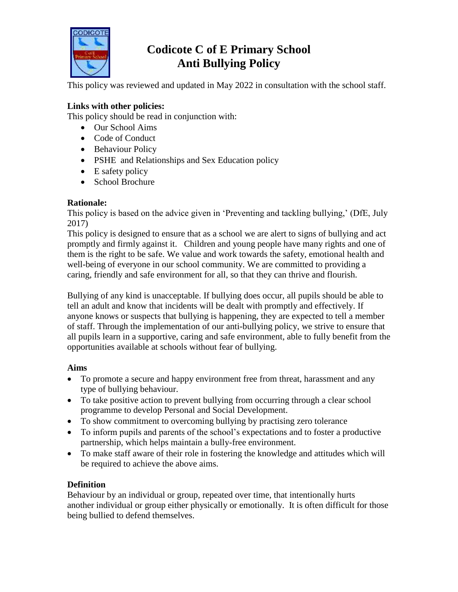

# **Codicote C of E Primary School Anti Bullying Policy**

This policy was reviewed and updated in May 2022 in consultation with the school staff.

## **Links with other policies:**

This policy should be read in conjunction with:

- Our School Aims
- Code of Conduct
- Behaviour Policy
- PSHE and Relationships and Sex Education policy
- $\bullet$  E safety policy
- School Brochure

# **Rationale:**

This policy is based on the advice given in 'Preventing and tackling bullying,' (DfE, July 2017)

This policy is designed to ensure that as a school we are alert to signs of bullying and act promptly and firmly against it. Children and young people have many rights and one of them is the right to be safe. We value and work towards the safety, emotional health and well-being of everyone in our school community. We are committed to providing a caring, friendly and safe environment for all, so that they can thrive and flourish.

Bullying of any kind is unacceptable. If bullying does occur, all pupils should be able to tell an adult and know that incidents will be dealt with promptly and effectively. If anyone knows or suspects that bullying is happening, they are expected to tell a member of staff. Through the implementation of our anti-bullying policy, we strive to ensure that all pupils learn in a supportive, caring and safe environment, able to fully benefit from the opportunities available at schools without fear of bullying.

# **Aims**

- To promote a secure and happy environment free from threat, harassment and any type of bullying behaviour.
- To take positive action to prevent bullying from occurring through a clear school programme to develop Personal and Social Development.
- To show commitment to overcoming bullying by practising zero tolerance
- To inform pupils and parents of the school's expectations and to foster a productive partnership, which helps maintain a bully-free environment.
- To make staff aware of their role in fostering the knowledge and attitudes which will be required to achieve the above aims.

# **Definition**

Behaviour by an individual or group, repeated over time, that intentionally hurts another individual or group either physically or emotionally. It is often difficult for those being bullied to defend themselves.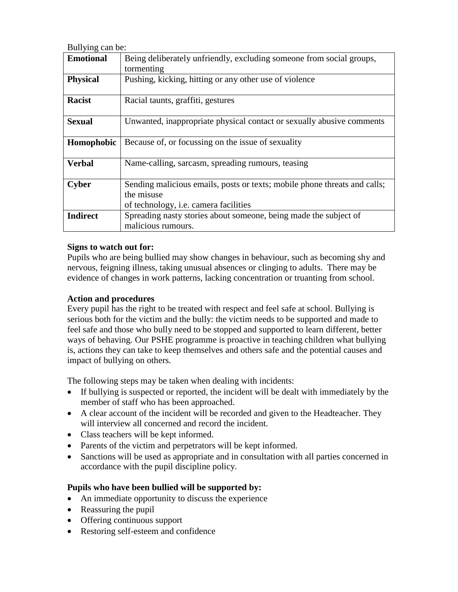Bullying can be:

| <b>Emotional</b> | Being deliberately unfriendly, excluding someone from social groups,                                                             |
|------------------|----------------------------------------------------------------------------------------------------------------------------------|
|                  | tormenting                                                                                                                       |
| <b>Physical</b>  | Pushing, kicking, hitting or any other use of violence                                                                           |
| <b>Racist</b>    | Racial taunts, graffiti, gestures                                                                                                |
| <b>Sexual</b>    | Unwanted, inappropriate physical contact or sexually abusive comments                                                            |
| Homophobic       | Because of, or focussing on the issue of sexuality                                                                               |
| <b>Verbal</b>    | Name-calling, sarcasm, spreading rumours, teasing                                                                                |
| Cyber            | Sending malicious emails, posts or texts; mobile phone threats and calls;<br>the misuse<br>of technology, i.e. camera facilities |
| <b>Indirect</b>  | Spreading nasty stories about someone, being made the subject of<br>malicious rumours.                                           |

#### **Signs to watch out for:**

Pupils who are being bullied may show changes in behaviour, such as becoming shy and nervous, feigning illness, taking unusual absences or clinging to adults. There may be evidence of changes in work patterns, lacking concentration or truanting from school.

#### **Action and procedures**

Every pupil has the right to be treated with respect and feel safe at school. Bullying is serious both for the victim and the bully: the victim needs to be supported and made to feel safe and those who bully need to be stopped and supported to learn different, better ways of behaving. Our PSHE programme is proactive in teaching children what bullying is, actions they can take to keep themselves and others safe and the potential causes and impact of bullying on others.

The following steps may be taken when dealing with incidents:

- If bullying is suspected or reported, the incident will be dealt with immediately by the member of staff who has been approached.
- A clear account of the incident will be recorded and given to the Headteacher. They will interview all concerned and record the incident.
- Class teachers will be kept informed.
- Parents of the victim and perpetrators will be kept informed.
- Sanctions will be used as appropriate and in consultation with all parties concerned in accordance with the pupil discipline policy.

#### **Pupils who have been bullied will be supported by:**

- An immediate opportunity to discuss the experience
- Reassuring the pupil
- Offering continuous support
- Restoring self-esteem and confidence